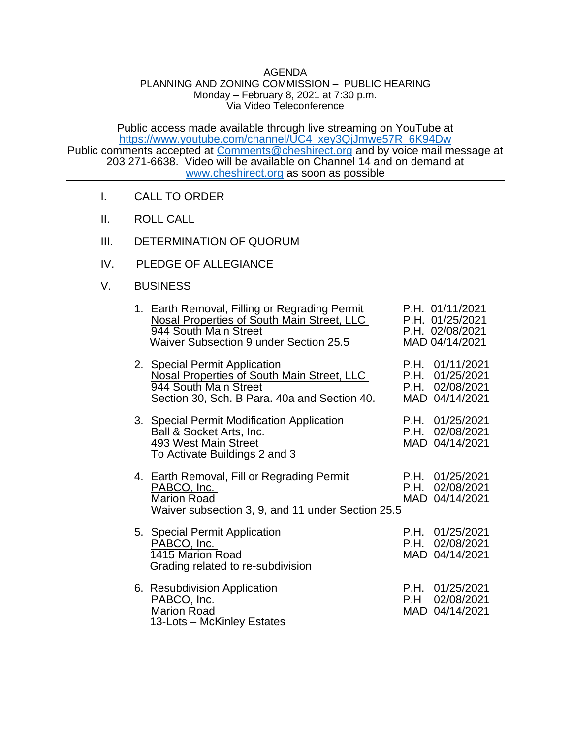## AGENDA

## PLANNING AND ZONING COMMISSION – PUBLIC HEARING Monday – February 8, 2021 at 7:30 p.m. Via Video Teleconference

Public access made available through live streaming on YouTube at [https://www.youtube.com/channel/UC4\\_xey3QjJmwe57R\\_6K94Dw](https://www.youtube.com/channel/UC4_xey3QjJmwe57R_6K94Dw) Public comments accepted at [Comments@cheshirect.org](mailto:Comments@cheshirect.org) and by voice mail message at 203 271-6638. Video will be available on Channel 14 and on demand at [www.cheshirect.org](http://www.cheshirect.org/) as soon as possible

- I. CALL TO ORDER
- II. ROLL CALL
- III. DETERMINATION OF QUORUM
- IV. PLEDGE OF ALLEGIANCE
- V. BUSINESS

| 1. Earth Removal, Filling or Regrading Permit<br>Nosal Properties of South Main Street, LLC<br>944 South Main Street<br>Waiver Subsection 9 under Section 25.5 | P.H. 01/11/2021<br>P.H. 01/25/2021<br>P.H. 02/08/2021<br>MAD 04/14/2021 |
|----------------------------------------------------------------------------------------------------------------------------------------------------------------|-------------------------------------------------------------------------|
| 2. Special Permit Application<br>Nosal Properties of South Main Street, LLC<br>944 South Main Street<br>Section 30, Sch. B Para. 40a and Section 40.           | P.H. 01/11/2021<br>P.H. 01/25/2021<br>P.H. 02/08/2021<br>MAD 04/14/2021 |
| 3. Special Permit Modification Application<br><b>Ball &amp; Socket Arts, Inc.</b><br>493 West Main Street<br>To Activate Buildings 2 and 3                     | P.H. 01/25/2021<br>P.H. 02/08/2021<br>MAD 04/14/2021                    |
| 4. Earth Removal, Fill or Regrading Permit<br>PABCO, Inc.<br><b>Marion Road</b><br>Waiver subsection 3, 9, and 11 under Section 25.5                           | P.H. 01/25/2021<br>P.H. 02/08/2021<br>MAD 04/14/2021                    |
| 5. Special Permit Application<br>PABCO, Inc.<br>1415 Marion Road<br>Grading related to re-subdivision                                                          | P.H. 01/25/2021<br>P.H. 02/08/2021<br>MAD 04/14/2021                    |
| 6. Resubdivision Application<br>PABCO, Inc.<br><b>Marion Road</b><br>13-Lots - McKinley Estates                                                                | P.H. 01/25/2021<br>P.H 02/08/2021<br>MAD 04/14/2021                     |